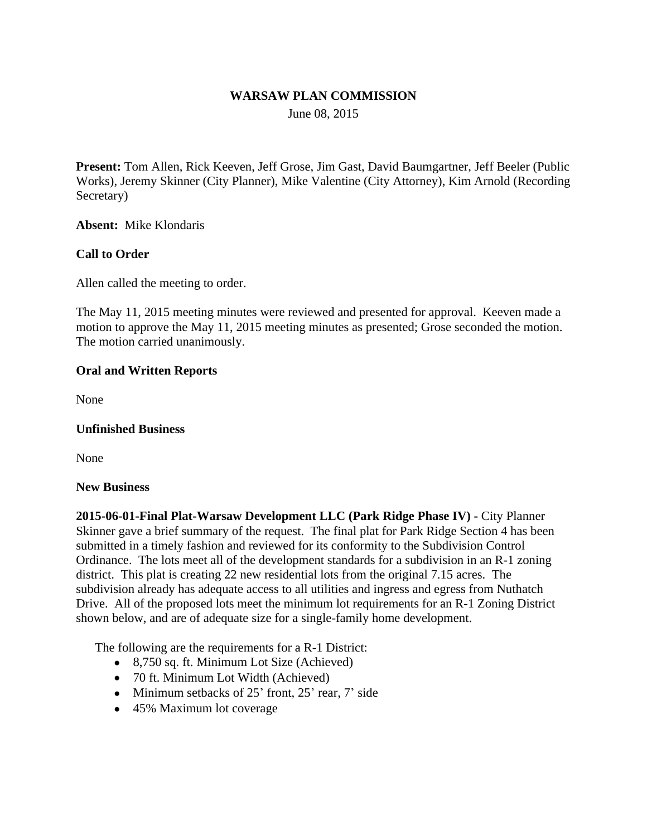#### **WARSAW PLAN COMMISSION**

June 08, 2015

**Present:** Tom Allen, Rick Keeven, Jeff Grose, Jim Gast, David Baumgartner, Jeff Beeler (Public Works), Jeremy Skinner (City Planner), Mike Valentine (City Attorney), Kim Arnold (Recording Secretary)

**Absent:** Mike Klondaris

## **Call to Order**

Allen called the meeting to order.

The May 11, 2015 meeting minutes were reviewed and presented for approval. Keeven made a motion to approve the May 11, 2015 meeting minutes as presented; Grose seconded the motion. The motion carried unanimously.

### **Oral and Written Reports**

None

#### **Unfinished Business**

None

#### **New Business**

**2015-06-01-Final Plat-Warsaw Development LLC (Park Ridge Phase IV) -** City Planner Skinner gave a brief summary of the request. The final plat for Park Ridge Section 4 has been submitted in a timely fashion and reviewed for its conformity to the Subdivision Control Ordinance. The lots meet all of the development standards for a subdivision in an R-1 zoning district. This plat is creating 22 new residential lots from the original 7.15 acres. The subdivision already has adequate access to all utilities and ingress and egress from Nuthatch Drive. All of the proposed lots meet the minimum lot requirements for an R-1 Zoning District shown below, and are of adequate size for a single-family home development.

The following are the requirements for a R-1 District:

- 8,750 sq. ft. Minimum Lot Size (Achieved)
- 70 ft. Minimum Lot Width (Achieved)
- $\bullet$  Minimum setbacks of 25' front, 25' rear, 7' side
- 45% Maximum lot coverage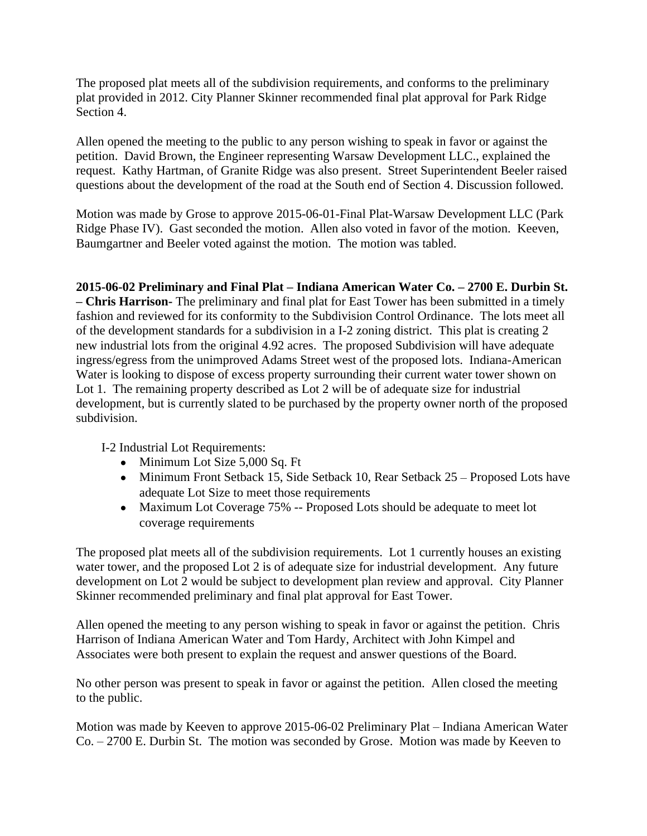The proposed plat meets all of the subdivision requirements, and conforms to the preliminary plat provided in 2012. City Planner Skinner recommended final plat approval for Park Ridge Section 4.

Allen opened the meeting to the public to any person wishing to speak in favor or against the petition. David Brown, the Engineer representing Warsaw Development LLC., explained the request. Kathy Hartman, of Granite Ridge was also present. Street Superintendent Beeler raised questions about the development of the road at the South end of Section 4. Discussion followed.

Motion was made by Grose to approve 2015-06-01-Final Plat-Warsaw Development LLC (Park Ridge Phase IV). Gast seconded the motion. Allen also voted in favor of the motion. Keeven, Baumgartner and Beeler voted against the motion. The motion was tabled.

**2015-06-02 Preliminary and Final Plat – Indiana American Water Co. – 2700 E. Durbin St.**

**– Chris Harrison-** The preliminary and final plat for East Tower has been submitted in a timely fashion and reviewed for its conformity to the Subdivision Control Ordinance. The lots meet all of the development standards for a subdivision in a I-2 zoning district. This plat is creating 2 new industrial lots from the original 4.92 acres. The proposed Subdivision will have adequate ingress/egress from the unimproved Adams Street west of the proposed lots. Indiana-American Water is looking to dispose of excess property surrounding their current water tower shown on Lot 1. The remaining property described as Lot 2 will be of adequate size for industrial development, but is currently slated to be purchased by the property owner north of the proposed subdivision.

I-2 Industrial Lot Requirements:

- Minimum Lot Size 5,000 Sq. Ft
- Minimum Front Setback 15, Side Setback 10, Rear Setback 25 Proposed Lots have adequate Lot Size to meet those requirements
- Maximum Lot Coverage 75% -- Proposed Lots should be adequate to meet lot coverage requirements

The proposed plat meets all of the subdivision requirements. Lot 1 currently houses an existing water tower, and the proposed Lot 2 is of adequate size for industrial development. Any future development on Lot 2 would be subject to development plan review and approval. City Planner Skinner recommended preliminary and final plat approval for East Tower.

Allen opened the meeting to any person wishing to speak in favor or against the petition. Chris Harrison of Indiana American Water and Tom Hardy, Architect with John Kimpel and Associates were both present to explain the request and answer questions of the Board.

No other person was present to speak in favor or against the petition. Allen closed the meeting to the public.

Motion was made by Keeven to approve 2015-06-02 Preliminary Plat – Indiana American Water Co. – 2700 E. Durbin St. The motion was seconded by Grose. Motion was made by Keeven to